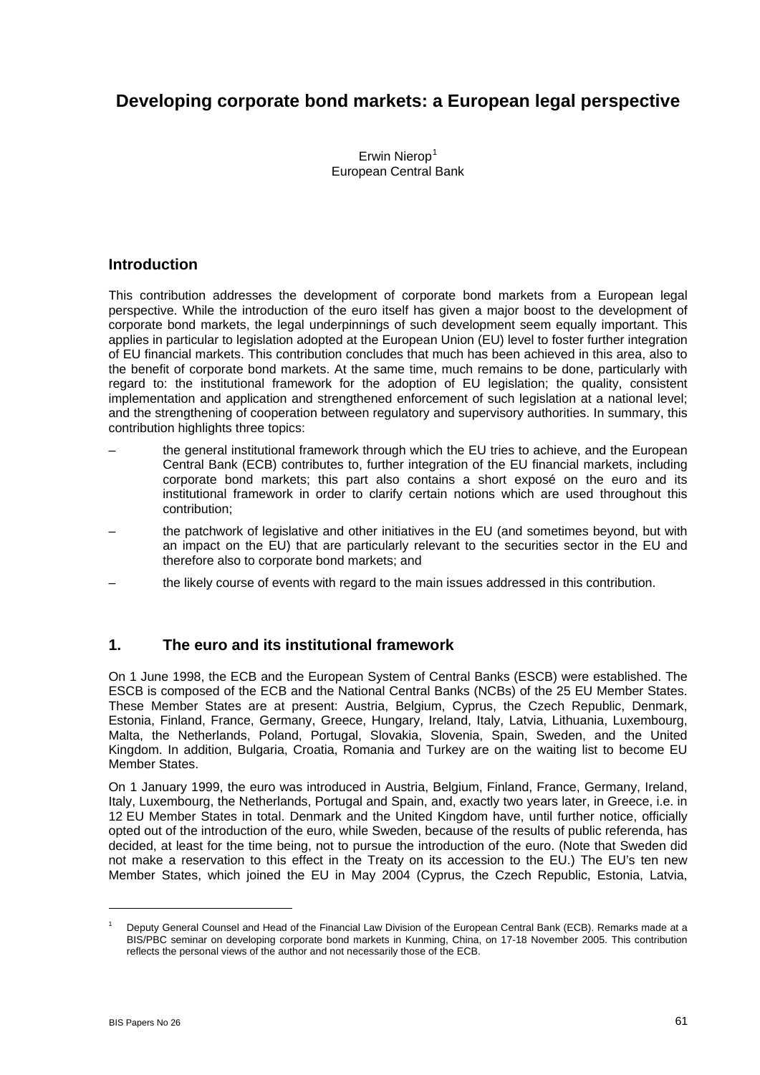# **Developing corporate bond markets: a European legal perspective**

Erwin Nierop<sup>[1](#page-0-0)</sup> European Central Bank

### **Introduction**

This contribution addresses the development of corporate bond markets from a European legal perspective. While the introduction of the euro itself has given a major boost to the development of corporate bond markets, the legal underpinnings of such development seem equally important. This applies in particular to legislation adopted at the European Union (EU) level to foster further integration of EU financial markets. This contribution concludes that much has been achieved in this area, also to the benefit of corporate bond markets. At the same time, much remains to be done, particularly with regard to: the institutional framework for the adoption of EU legislation; the quality, consistent implementation and application and strengthened enforcement of such legislation at a national level; and the strengthening of cooperation between regulatory and supervisory authorities. In summary, this contribution highlights three topics:

- the general institutional framework through which the EU tries to achieve, and the European Central Bank (ECB) contributes to, further integration of the EU financial markets, including corporate bond markets; this part also contains a short exposé on the euro and its institutional framework in order to clarify certain notions which are used throughout this contribution;
- the patchwork of legislative and other initiatives in the EU (and sometimes beyond, but with an impact on the EU) that are particularly relevant to the securities sector in the EU and therefore also to corporate bond markets; and
- the likely course of events with regard to the main issues addressed in this contribution.

### **1. The euro and its institutional framework**

On 1 June 1998, the ECB and the European System of Central Banks (ESCB) were established. The ESCB is composed of the ECB and the National Central Banks (NCBs) of the 25 EU Member States. These Member States are at present: Austria, Belgium, Cyprus, the Czech Republic, Denmark, Estonia, Finland, France, Germany, Greece, Hungary, Ireland, Italy, Latvia, Lithuania, Luxembourg, Malta, the Netherlands, Poland, Portugal, Slovakia, Slovenia, Spain, Sweden, and the United Kingdom. In addition, Bulgaria, Croatia, Romania and Turkey are on the waiting list to become EU Member States.

On 1 January 1999, the euro was introduced in Austria, Belgium, Finland, France, Germany, Ireland, Italy, Luxembourg, the Netherlands, Portugal and Spain, and, exactly two years later, in Greece, i.e. in 12 EU Member States in total. Denmark and the United Kingdom have, until further notice, officially opted out of the introduction of the euro, while Sweden, because of the results of public referenda, has decided, at least for the time being, not to pursue the introduction of the euro. (Note that Sweden did not make a reservation to this effect in the Treaty on its accession to the EU.) The EU's ten new Member States, which joined the EU in May 2004 (Cyprus, the Czech Republic, Estonia, Latvia,

-

<span id="page-0-0"></span><sup>1</sup> Deputy General Counsel and Head of the Financial Law Division of the European Central Bank (ECB). Remarks made at a BIS/PBC seminar on developing corporate bond markets in Kunming, China, on 17-18 November 2005. This contribution reflects the personal views of the author and not necessarily those of the ECB.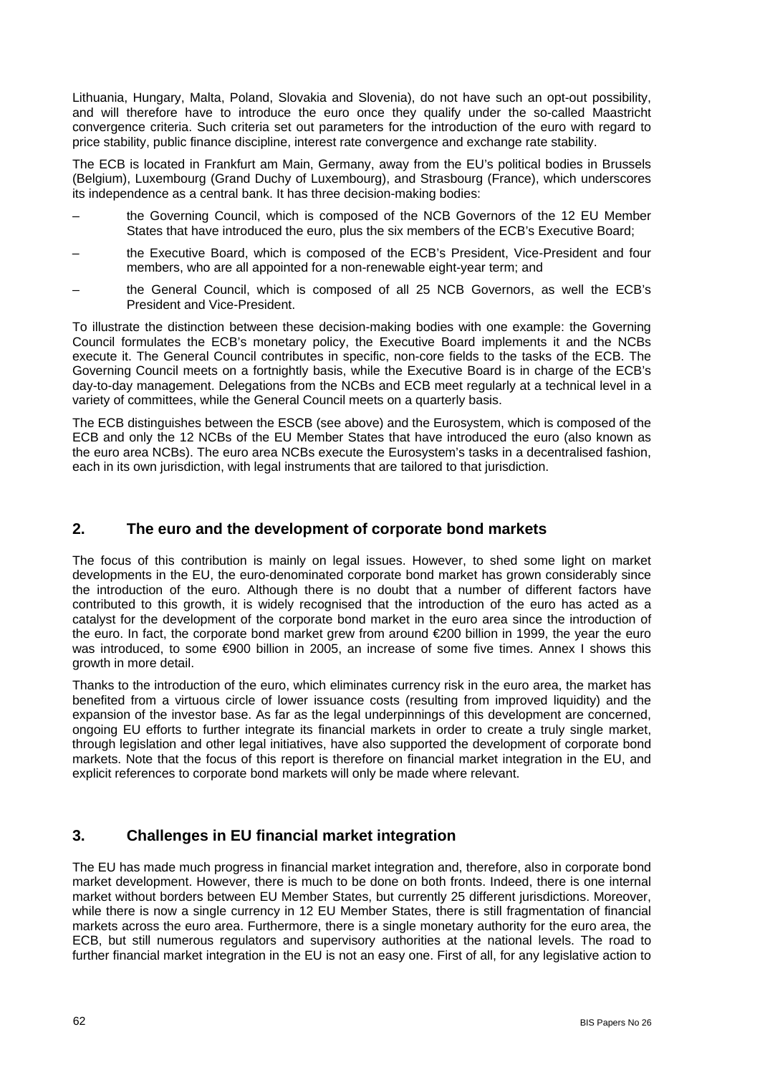Lithuania, Hungary, Malta, Poland, Slovakia and Slovenia), do not have such an opt-out possibility, and will therefore have to introduce the euro once they qualify under the so-called Maastricht convergence criteria. Such criteria set out parameters for the introduction of the euro with regard to price stability, public finance discipline, interest rate convergence and exchange rate stability.

The ECB is located in Frankfurt am Main, Germany, away from the EU's political bodies in Brussels (Belgium), Luxembourg (Grand Duchy of Luxembourg), and Strasbourg (France), which underscores its independence as a central bank. It has three decision-making bodies:

- the Governing Council, which is composed of the NCB Governors of the 12 EU Member States that have introduced the euro, plus the six members of the ECB's Executive Board;
- the Executive Board, which is composed of the ECB's President, Vice-President and four members, who are all appointed for a non-renewable eight-year term; and
- the General Council, which is composed of all 25 NCB Governors, as well the ECB's President and Vice-President.

To illustrate the distinction between these decision-making bodies with one example: the Governing Council formulates the ECB's monetary policy, the Executive Board implements it and the NCBs execute it. The General Council contributes in specific, non-core fields to the tasks of the ECB. The Governing Council meets on a fortnightly basis, while the Executive Board is in charge of the ECB's day-to-day management. Delegations from the NCBs and ECB meet regularly at a technical level in a variety of committees, while the General Council meets on a quarterly basis.

The ECB distinguishes between the ESCB (see above) and the Eurosystem, which is composed of the ECB and only the 12 NCBs of the EU Member States that have introduced the euro (also known as the euro area NCBs). The euro area NCBs execute the Eurosystem's tasks in a decentralised fashion, each in its own jurisdiction, with legal instruments that are tailored to that jurisdiction.

### **2. The euro and the development of corporate bond markets**

The focus of this contribution is mainly on legal issues. However, to shed some light on market developments in the EU, the euro-denominated corporate bond market has grown considerably since the introduction of the euro. Although there is no doubt that a number of different factors have contributed to this growth, it is widely recognised that the introduction of the euro has acted as a catalyst for the development of the corporate bond market in the euro area since the introduction of the euro. In fact, the corporate bond market grew from around €200 billion in 1999, the year the euro was introduced, to some €900 billion in 2005, an increase of some five times. Annex I shows this growth in more detail.

Thanks to the introduction of the euro, which eliminates currency risk in the euro area, the market has benefited from a virtuous circle of lower issuance costs (resulting from improved liquidity) and the expansion of the investor base. As far as the legal underpinnings of this development are concerned, ongoing EU efforts to further integrate its financial markets in order to create a truly single market, through legislation and other legal initiatives, have also supported the development of corporate bond markets. Note that the focus of this report is therefore on financial market integration in the EU, and explicit references to corporate bond markets will only be made where relevant.

# **3. Challenges in EU financial market integration**

The EU has made much progress in financial market integration and, therefore, also in corporate bond market development. However, there is much to be done on both fronts. Indeed, there is one internal market without borders between EU Member States, but currently 25 different jurisdictions. Moreover, while there is now a single currency in 12 EU Member States, there is still fragmentation of financial markets across the euro area. Furthermore, there is a single monetary authority for the euro area, the ECB, but still numerous regulators and supervisory authorities at the national levels. The road to further financial market integration in the EU is not an easy one. First of all, for any legislative action to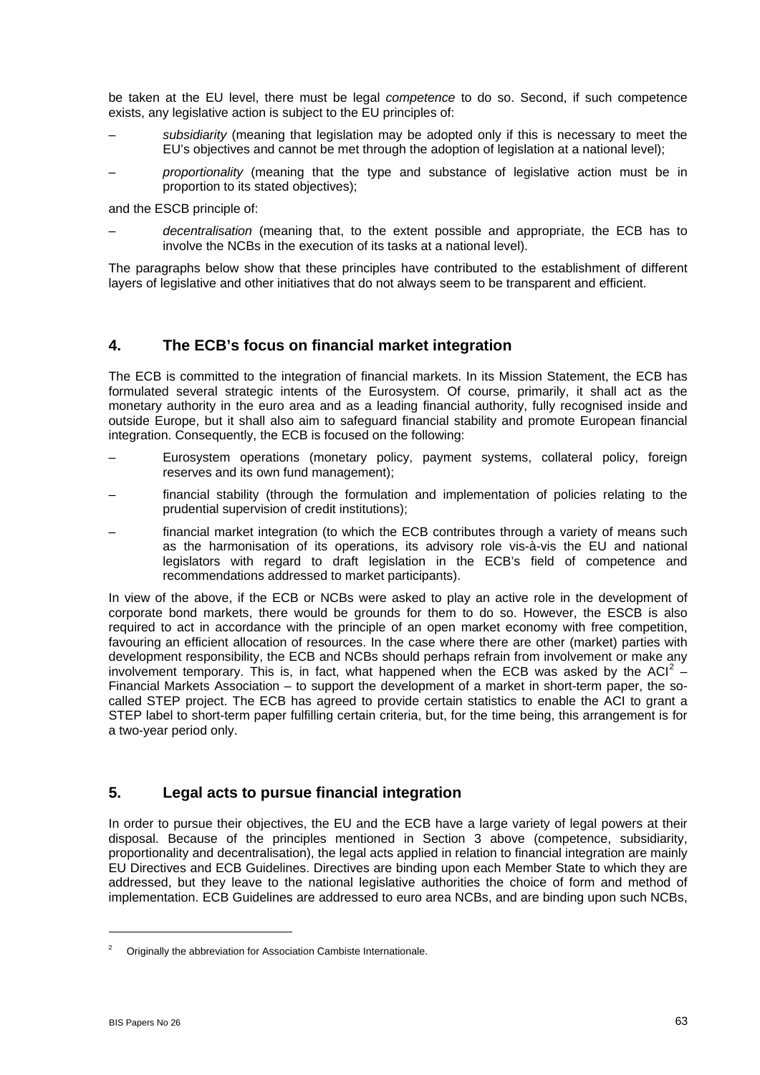be taken at the EU level, there must be legal *competence* to do so. Second, if such competence exists, any legislative action is subject to the EU principles of:

- *subsidiarity* (meaning that legislation may be adopted only if this is necessary to meet the EU's objectives and cannot be met through the adoption of legislation at a national level);
- *proportionality* (meaning that the type and substance of legislative action must be in proportion to its stated objectives);

and the ESCB principle of:

– *decentralisation* (meaning that, to the extent possible and appropriate, the ECB has to involve the NCBs in the execution of its tasks at a national level).

The paragraphs below show that these principles have contributed to the establishment of different layers of legislative and other initiatives that do not always seem to be transparent and efficient.

### **4. The ECB's focus on financial market integration**

The ECB is committed to the integration of financial markets. In its Mission Statement, the ECB has formulated several strategic intents of the Eurosystem. Of course, primarily, it shall act as the monetary authority in the euro area and as a leading financial authority, fully recognised inside and outside Europe, but it shall also aim to safeguard financial stability and promote European financial integration. Consequently, the ECB is focused on the following:

- Eurosystem operations (monetary policy, payment systems, collateral policy, foreign reserves and its own fund management);
- financial stability (through the formulation and implementation of policies relating to the prudential supervision of credit institutions);
- financial market integration (to which the ECB contributes through a variety of means such as the harmonisation of its operations, its advisory role vis-à-vis the EU and national legislators with regard to draft legislation in the ECB's field of competence and recommendations addressed to market participants).

In view of the above, if the ECB or NCBs were asked to play an active role in the development of corporate bond markets, there would be grounds for them to do so. However, the ESCB is also required to act in accordance with the principle of an open market economy with free competition, favouring an efficient allocation of resources. In the case where there are other (market) parties with development responsibility, the ECB and NCBs should perhaps refrain from involvement or make any involvement temporary. This is, in fact, what happened when the ECB was asked by the ACI<sup>[2](#page-2-0)</sup> -Financial Markets Association – to support the development of a market in short-term paper, the socalled STEP project. The ECB has agreed to provide certain statistics to enable the ACI to grant a STEP label to short-term paper fulfilling certain criteria, but, for the time being, this arrangement is for a two-year period only.

# **5. Legal acts to pursue financial integration**

In order to pursue their objectives, the EU and the ECB have a large variety of legal powers at their disposal. Because of the principles mentioned in Section 3 above (competence, subsidiarity, proportionality and decentralisation), the legal acts applied in relation to financial integration are mainly EU Directives and ECB Guidelines. Directives are binding upon each Member State to which they are addressed, but they leave to the national legislative authorities the choice of form and method of implementation. ECB Guidelines are addressed to euro area NCBs, and are binding upon such NCBs,

-

<span id="page-2-0"></span> $\overline{2}$ Originally the abbreviation for Association Cambiste Internationale.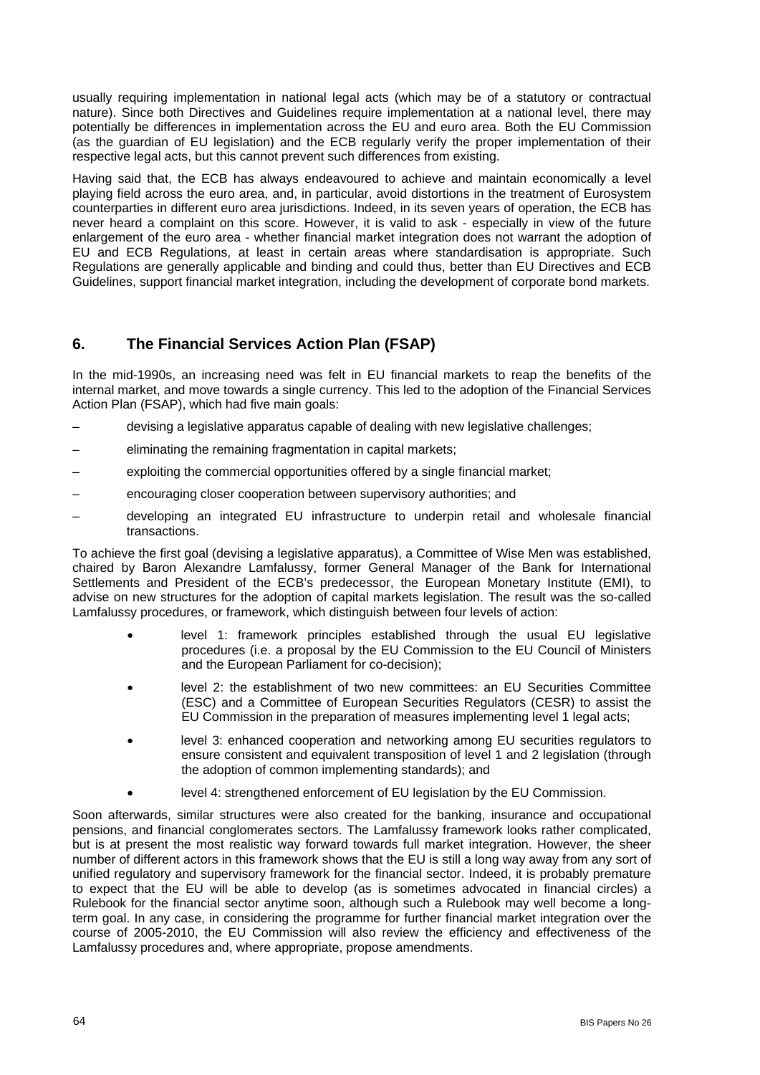usually requiring implementation in national legal acts (which may be of a statutory or contractual nature). Since both Directives and Guidelines require implementation at a national level, there may potentially be differences in implementation across the EU and euro area. Both the EU Commission (as the guardian of EU legislation) and the ECB regularly verify the proper implementation of their respective legal acts, but this cannot prevent such differences from existing.

Having said that, the ECB has always endeavoured to achieve and maintain economically a level playing field across the euro area, and, in particular, avoid distortions in the treatment of Eurosystem counterparties in different euro area jurisdictions. Indeed, in its seven years of operation, the ECB has never heard a complaint on this score. However, it is valid to ask - especially in view of the future enlargement of the euro area - whether financial market integration does not warrant the adoption of EU and ECB Regulations, at least in certain areas where standardisation is appropriate. Such Regulations are generally applicable and binding and could thus, better than EU Directives and ECB Guidelines, support financial market integration, including the development of corporate bond markets.

# **6. The Financial Services Action Plan (FSAP)**

In the mid-1990s, an increasing need was felt in EU financial markets to reap the benefits of the internal market, and move towards a single currency. This led to the adoption of the Financial Services Action Plan (FSAP), which had five main goals:

- devising a legislative apparatus capable of dealing with new legislative challenges;
- eliminating the remaining fragmentation in capital markets;
- exploiting the commercial opportunities offered by a single financial market;
- encouraging closer cooperation between supervisory authorities; and
- developing an integrated EU infrastructure to underpin retail and wholesale financial transactions.

To achieve the first goal (devising a legislative apparatus), a Committee of Wise Men was established, chaired by Baron Alexandre Lamfalussy, former General Manager of the Bank for International Settlements and President of the ECB's predecessor, the European Monetary Institute (EMI), to advise on new structures for the adoption of capital markets legislation. The result was the so-called Lamfalussy procedures, or framework, which distinguish between four levels of action:

- level 1: framework principles established through the usual EU legislative procedures (i.e. a proposal by the EU Commission to the EU Council of Ministers and the European Parliament for co-decision);
- level 2: the establishment of two new committees: an EU Securities Committee (ESC) and a Committee of European Securities Regulators (CESR) to assist the EU Commission in the preparation of measures implementing level 1 legal acts;
- level 3: enhanced cooperation and networking among EU securities regulators to ensure consistent and equivalent transposition of level 1 and 2 legislation (through the adoption of common implementing standards); and
- level 4: strengthened enforcement of EU legislation by the EU Commission.

Soon afterwards, similar structures were also created for the banking, insurance and occupational pensions, and financial conglomerates sectors. The Lamfalussy framework looks rather complicated, but is at present the most realistic way forward towards full market integration. However, the sheer number of different actors in this framework shows that the EU is still a long way away from any sort of unified regulatory and supervisory framework for the financial sector. Indeed, it is probably premature to expect that the EU will be able to develop (as is sometimes advocated in financial circles) a Rulebook for the financial sector anytime soon, although such a Rulebook may well become a longterm goal. In any case, in considering the programme for further financial market integration over the course of 2005-2010, the EU Commission will also review the efficiency and effectiveness of the Lamfalussy procedures and, where appropriate, propose amendments.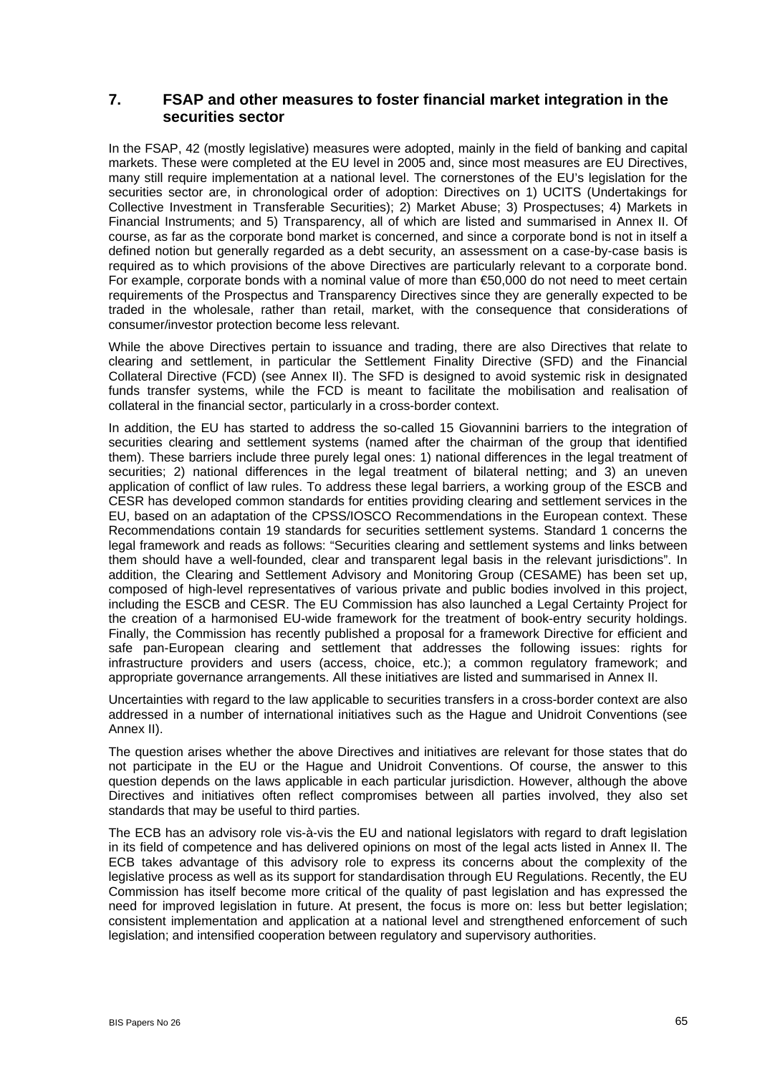### **7. FSAP and other measures to foster financial market integration in the securities sector**

In the FSAP, 42 (mostly legislative) measures were adopted, mainly in the field of banking and capital markets. These were completed at the EU level in 2005 and, since most measures are EU Directives, many still require implementation at a national level. The cornerstones of the EU's legislation for the securities sector are, in chronological order of adoption: Directives on 1) UCITS (Undertakings for Collective Investment in Transferable Securities); 2) Market Abuse; 3) Prospectuses; 4) Markets in Financial Instruments; and 5) Transparency, all of which are listed and summarised in Annex II. Of course, as far as the corporate bond market is concerned, and since a corporate bond is not in itself a defined notion but generally regarded as a debt security, an assessment on a case-by-case basis is required as to which provisions of the above Directives are particularly relevant to a corporate bond. For example, corporate bonds with a nominal value of more than €50,000 do not need to meet certain requirements of the Prospectus and Transparency Directives since they are generally expected to be traded in the wholesale, rather than retail, market, with the consequence that considerations of consumer/investor protection become less relevant.

While the above Directives pertain to issuance and trading, there are also Directives that relate to clearing and settlement, in particular the Settlement Finality Directive (SFD) and the Financial Collateral Directive (FCD) (see Annex II). The SFD is designed to avoid systemic risk in designated funds transfer systems, while the FCD is meant to facilitate the mobilisation and realisation of collateral in the financial sector, particularly in a cross-border context.

In addition, the EU has started to address the so-called 15 Giovannini barriers to the integration of securities clearing and settlement systems (named after the chairman of the group that identified them). These barriers include three purely legal ones: 1) national differences in the legal treatment of securities; 2) national differences in the legal treatment of bilateral netting; and 3) an uneven application of conflict of law rules. To address these legal barriers, a working group of the ESCB and CESR has developed common standards for entities providing clearing and settlement services in the EU, based on an adaptation of the CPSS/IOSCO Recommendations in the European context. These Recommendations contain 19 standards for securities settlement systems. Standard 1 concerns the legal framework and reads as follows: "Securities clearing and settlement systems and links between them should have a well-founded, clear and transparent legal basis in the relevant jurisdictions". In addition, the Clearing and Settlement Advisory and Monitoring Group (CESAME) has been set up, composed of high-level representatives of various private and public bodies involved in this project, including the ESCB and CESR. The EU Commission has also launched a Legal Certainty Project for the creation of a harmonised EU-wide framework for the treatment of book-entry security holdings. Finally, the Commission has recently published a proposal for a framework Directive for efficient and safe pan-European clearing and settlement that addresses the following issues: rights for infrastructure providers and users (access, choice, etc.); a common regulatory framework; and appropriate governance arrangements. All these initiatives are listed and summarised in Annex II.

Uncertainties with regard to the law applicable to securities transfers in a cross-border context are also addressed in a number of international initiatives such as the Hague and Unidroit Conventions (see Annex II).

The question arises whether the above Directives and initiatives are relevant for those states that do not participate in the EU or the Hague and Unidroit Conventions. Of course, the answer to this question depends on the laws applicable in each particular jurisdiction. However, although the above Directives and initiatives often reflect compromises between all parties involved, they also set standards that may be useful to third parties.

The ECB has an advisory role vis-à-vis the EU and national legislators with regard to draft legislation in its field of competence and has delivered opinions on most of the legal acts listed in Annex II. The ECB takes advantage of this advisory role to express its concerns about the complexity of the legislative process as well as its support for standardisation through EU Regulations. Recently, the EU Commission has itself become more critical of the quality of past legislation and has expressed the need for improved legislation in future. At present, the focus is more on: less but better legislation; consistent implementation and application at a national level and strengthened enforcement of such legislation; and intensified cooperation between regulatory and supervisory authorities.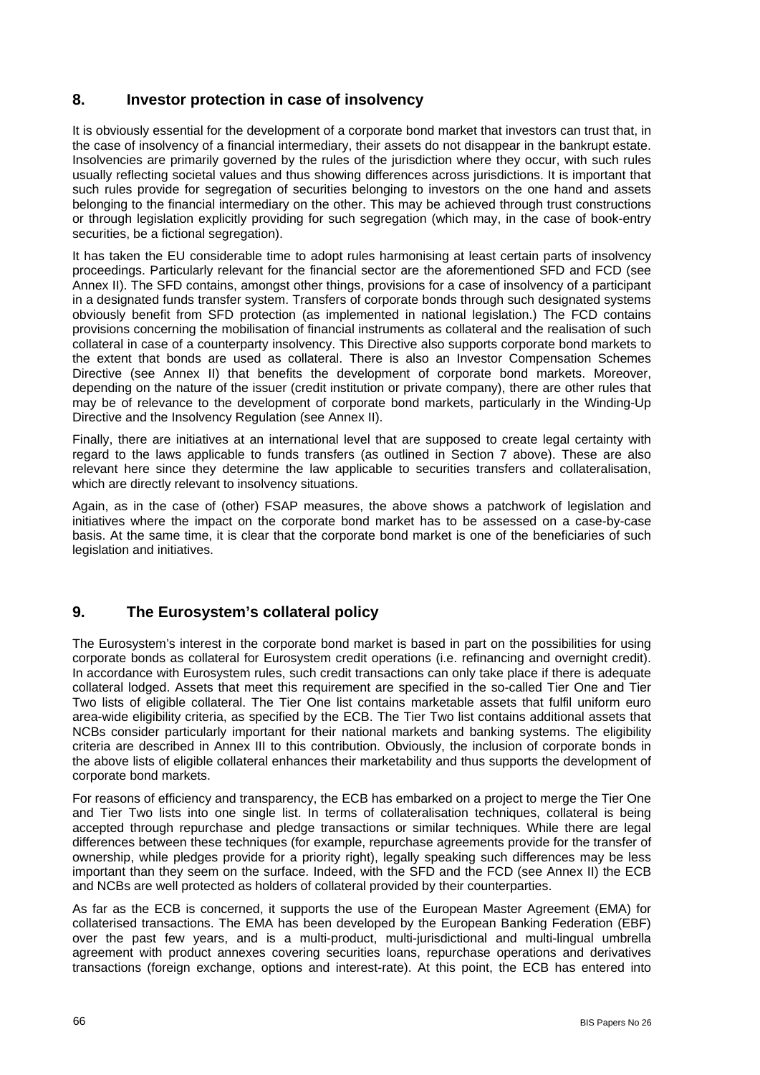# **8. Investor protection in case of insolvency**

It is obviously essential for the development of a corporate bond market that investors can trust that, in the case of insolvency of a financial intermediary, their assets do not disappear in the bankrupt estate. Insolvencies are primarily governed by the rules of the jurisdiction where they occur, with such rules usually reflecting societal values and thus showing differences across jurisdictions. It is important that such rules provide for segregation of securities belonging to investors on the one hand and assets belonging to the financial intermediary on the other. This may be achieved through trust constructions or through legislation explicitly providing for such segregation (which may, in the case of book-entry securities, be a fictional segregation).

It has taken the EU considerable time to adopt rules harmonising at least certain parts of insolvency proceedings. Particularly relevant for the financial sector are the aforementioned SFD and FCD (see Annex II). The SFD contains, amongst other things, provisions for a case of insolvency of a participant in a designated funds transfer system. Transfers of corporate bonds through such designated systems obviously benefit from SFD protection (as implemented in national legislation.) The FCD contains provisions concerning the mobilisation of financial instruments as collateral and the realisation of such collateral in case of a counterparty insolvency. This Directive also supports corporate bond markets to the extent that bonds are used as collateral. There is also an Investor Compensation Schemes Directive (see Annex II) that benefits the development of corporate bond markets. Moreover, depending on the nature of the issuer (credit institution or private company), there are other rules that may be of relevance to the development of corporate bond markets, particularly in the Winding-Up Directive and the Insolvency Regulation (see Annex II).

Finally, there are initiatives at an international level that are supposed to create legal certainty with regard to the laws applicable to funds transfers (as outlined in Section 7 above). These are also relevant here since they determine the law applicable to securities transfers and collateralisation, which are directly relevant to insolvency situations.

Again, as in the case of (other) FSAP measures, the above shows a patchwork of legislation and initiatives where the impact on the corporate bond market has to be assessed on a case-by-case basis. At the same time, it is clear that the corporate bond market is one of the beneficiaries of such legislation and initiatives.

# **9. The Eurosystem's collateral policy**

The Eurosystem's interest in the corporate bond market is based in part on the possibilities for using corporate bonds as collateral for Eurosystem credit operations (i.e. refinancing and overnight credit). In accordance with Eurosystem rules, such credit transactions can only take place if there is adequate collateral lodged. Assets that meet this requirement are specified in the so-called Tier One and Tier Two lists of eligible collateral. The Tier One list contains marketable assets that fulfil uniform euro area-wide eligibility criteria, as specified by the ECB. The Tier Two list contains additional assets that NCBs consider particularly important for their national markets and banking systems. The eligibility criteria are described in Annex III to this contribution. Obviously, the inclusion of corporate bonds in the above lists of eligible collateral enhances their marketability and thus supports the development of corporate bond markets.

For reasons of efficiency and transparency, the ECB has embarked on a project to merge the Tier One and Tier Two lists into one single list. In terms of collateralisation techniques, collateral is being accepted through repurchase and pledge transactions or similar techniques. While there are legal differences between these techniques (for example, repurchase agreements provide for the transfer of ownership, while pledges provide for a priority right), legally speaking such differences may be less important than they seem on the surface. Indeed, with the SFD and the FCD (see Annex II) the ECB and NCBs are well protected as holders of collateral provided by their counterparties.

As far as the ECB is concerned, it supports the use of the European Master Agreement (EMA) for collaterised transactions. The EMA has been developed by the European Banking Federation (EBF) over the past few years, and is a multi-product, multi-jurisdictional and multi-lingual umbrella agreement with product annexes covering securities loans, repurchase operations and derivatives transactions (foreign exchange, options and interest-rate). At this point, the ECB has entered into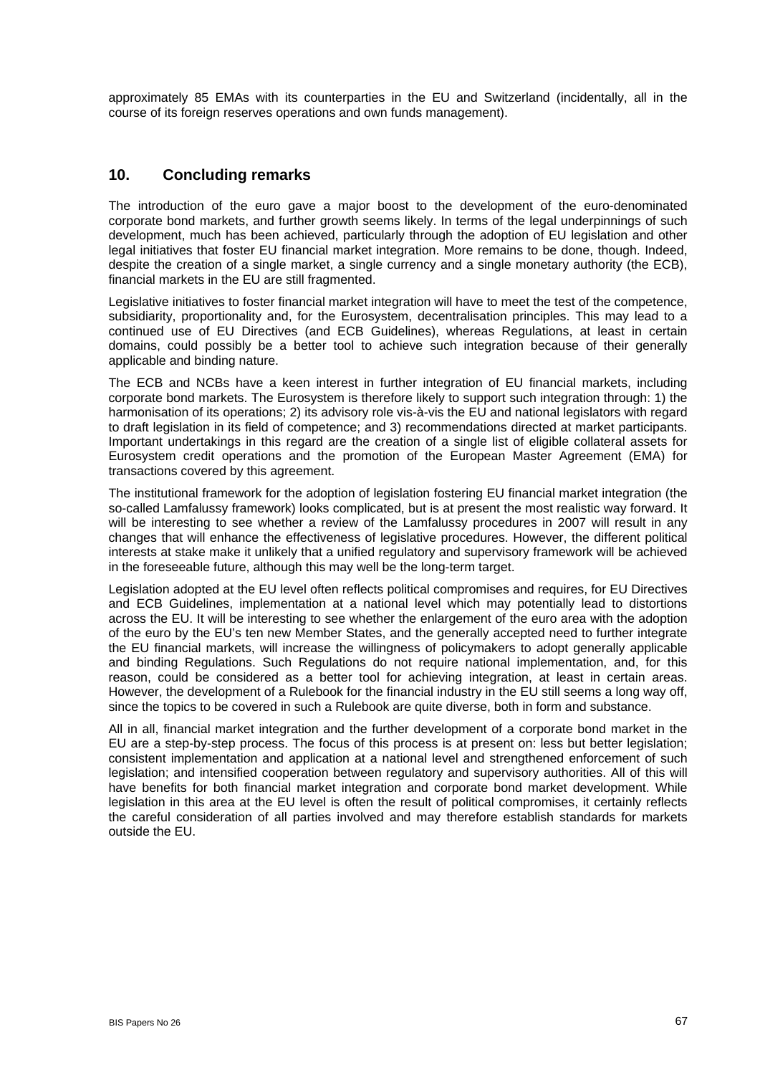approximately 85 EMAs with its counterparties in the EU and Switzerland (incidentally, all in the course of its foreign reserves operations and own funds management).

# **10. Concluding remarks**

The introduction of the euro gave a major boost to the development of the euro-denominated corporate bond markets, and further growth seems likely. In terms of the legal underpinnings of such development, much has been achieved, particularly through the adoption of EU legislation and other legal initiatives that foster EU financial market integration. More remains to be done, though. Indeed, despite the creation of a single market, a single currency and a single monetary authority (the ECB), financial markets in the EU are still fragmented.

Legislative initiatives to foster financial market integration will have to meet the test of the competence, subsidiarity, proportionality and, for the Eurosystem, decentralisation principles. This may lead to a continued use of EU Directives (and ECB Guidelines), whereas Regulations, at least in certain domains, could possibly be a better tool to achieve such integration because of their generally applicable and binding nature.

The ECB and NCBs have a keen interest in further integration of EU financial markets, including corporate bond markets. The Eurosystem is therefore likely to support such integration through: 1) the harmonisation of its operations; 2) its advisory role vis-à-vis the EU and national legislators with regard to draft legislation in its field of competence; and 3) recommendations directed at market participants. Important undertakings in this regard are the creation of a single list of eligible collateral assets for Eurosystem credit operations and the promotion of the European Master Agreement (EMA) for transactions covered by this agreement.

The institutional framework for the adoption of legislation fostering EU financial market integration (the so-called Lamfalussy framework) looks complicated, but is at present the most realistic way forward. It will be interesting to see whether a review of the Lamfalussy procedures in 2007 will result in any changes that will enhance the effectiveness of legislative procedures. However, the different political interests at stake make it unlikely that a unified regulatory and supervisory framework will be achieved in the foreseeable future, although this may well be the long-term target.

Legislation adopted at the EU level often reflects political compromises and requires, for EU Directives and ECB Guidelines, implementation at a national level which may potentially lead to distortions across the EU. It will be interesting to see whether the enlargement of the euro area with the adoption of the euro by the EU's ten new Member States, and the generally accepted need to further integrate the EU financial markets, will increase the willingness of policymakers to adopt generally applicable and binding Regulations. Such Regulations do not require national implementation, and, for this reason, could be considered as a better tool for achieving integration, at least in certain areas. However, the development of a Rulebook for the financial industry in the EU still seems a long way off, since the topics to be covered in such a Rulebook are quite diverse, both in form and substance.

All in all, financial market integration and the further development of a corporate bond market in the EU are a step-by-step process. The focus of this process is at present on: less but better legislation; consistent implementation and application at a national level and strengthened enforcement of such legislation; and intensified cooperation between regulatory and supervisory authorities. All of this will have benefits for both financial market integration and corporate bond market development. While legislation in this area at the EU level is often the result of political compromises, it certainly reflects the careful consideration of all parties involved and may therefore establish standards for markets outside the EU.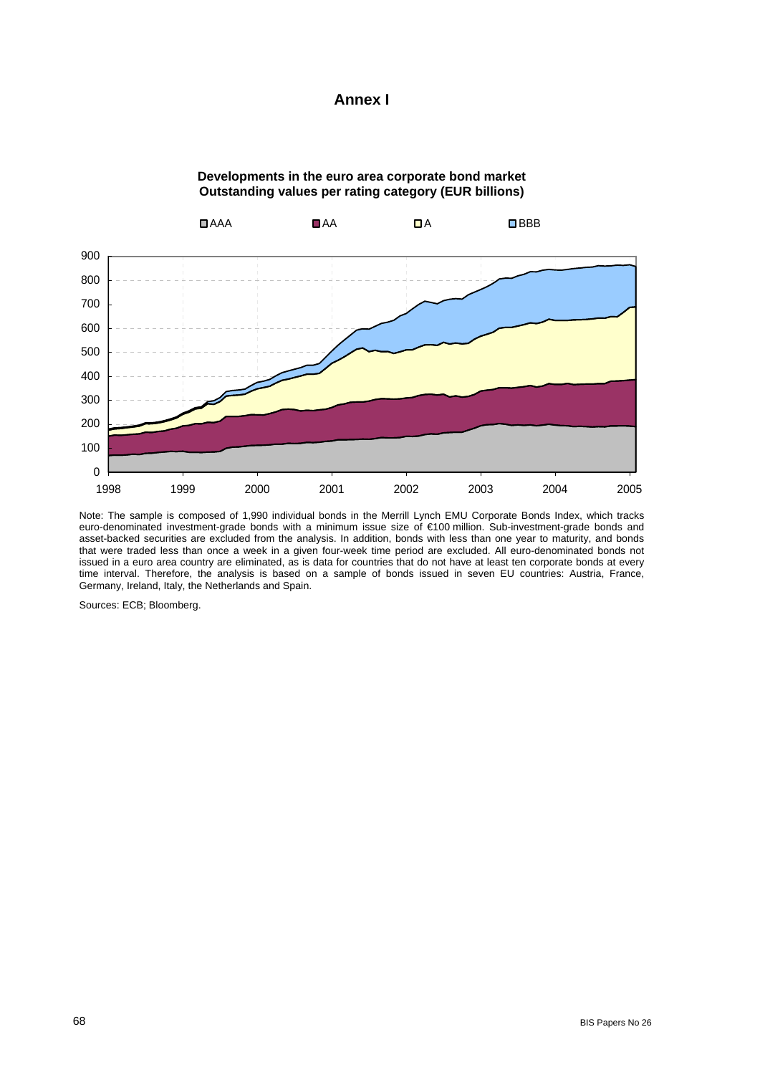### **Annex I**



#### **Developments in the euro area corporate bond market Outstanding values per rating category (EUR billions)**

Sources: ECB; Bloomberg.

Note: The sample is composed of 1,990 individual bonds in the Merrill Lynch EMU Corporate Bonds Index, which tracks euro-denominated investment-grade bonds with a minimum issue size of €100 million. Sub-investment-grade bonds and asset-backed securities are excluded from the analysis. In addition, bonds with less than one year to maturity, and bonds that were traded less than once a week in a given four-week time period are excluded. All euro-denominated bonds not issued in a euro area country are eliminated, as is data for countries that do not have at least ten corporate bonds at every time interval. Therefore, the analysis is based on a sample of bonds issued in seven EU countries: Austria, France, Germany, Ireland, Italy, the Netherlands and Spain.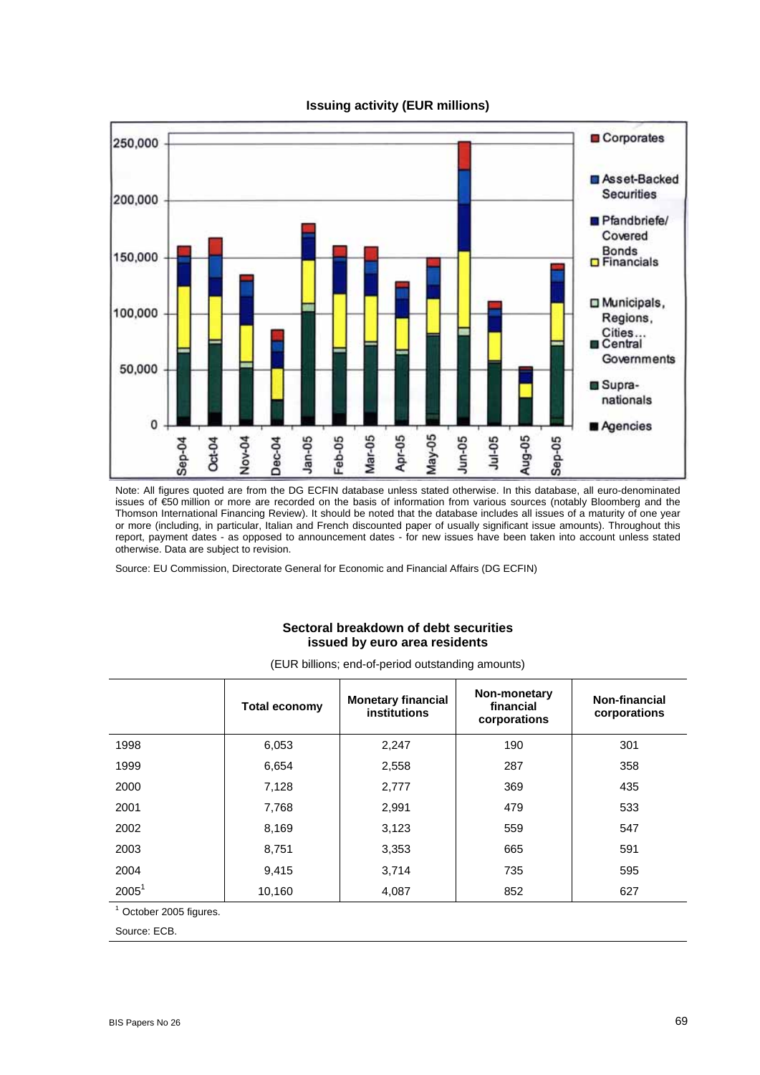



Note: All figures quoted are from the DG ECFIN database unless stated otherwise. In this database, all euro-denominated issues of €50 million or more are recorded on the basis of information from various sources (notably Bloomberg and the Thomson International Financing Review). It should be noted that the database includes all issues of a maturity of one year or more (including, in particular, Italian and French discounted paper of usually significant issue amounts). Throughout this report, payment dates - as opposed to announcement dates - for new issues have been taken into account unless stated otherwise. Data are subject to revision.

Source: EU Commission, Directorate General for Economic and Financial Affairs (DG ECFIN)

#### **Sectoral breakdown of debt securities issued by euro area residents**

|                                    | <b>Total economy</b> | <b>Monetary financial</b><br><b>institutions</b> | Non-monetary<br>financial<br>corporations | Non-financial<br>corporations |
|------------------------------------|----------------------|--------------------------------------------------|-------------------------------------------|-------------------------------|
| 1998                               | 6,053                | 2,247                                            | 190                                       | 301                           |
| 1999                               | 6,654                | 2,558                                            | 287                                       | 358                           |
| 2000                               | 7,128                | 2,777                                            | 369                                       | 435                           |
| 2001                               | 7,768                | 2,991                                            | 479                                       | 533                           |
| 2002                               | 8,169                | 3,123                                            | 559                                       | 547                           |
| 2003                               | 8,751                | 3,353                                            | 665                                       | 591                           |
| 2004                               | 9,415                | 3,714                                            | 735                                       | 595                           |
| $2005^1$                           | 10,160               | 4,087                                            | 852                                       | 627                           |
| <sup>1</sup> October 2005 figures. |                      |                                                  |                                           |                               |

(EUR billions; end-of-period outstanding amounts)

Source: ECB.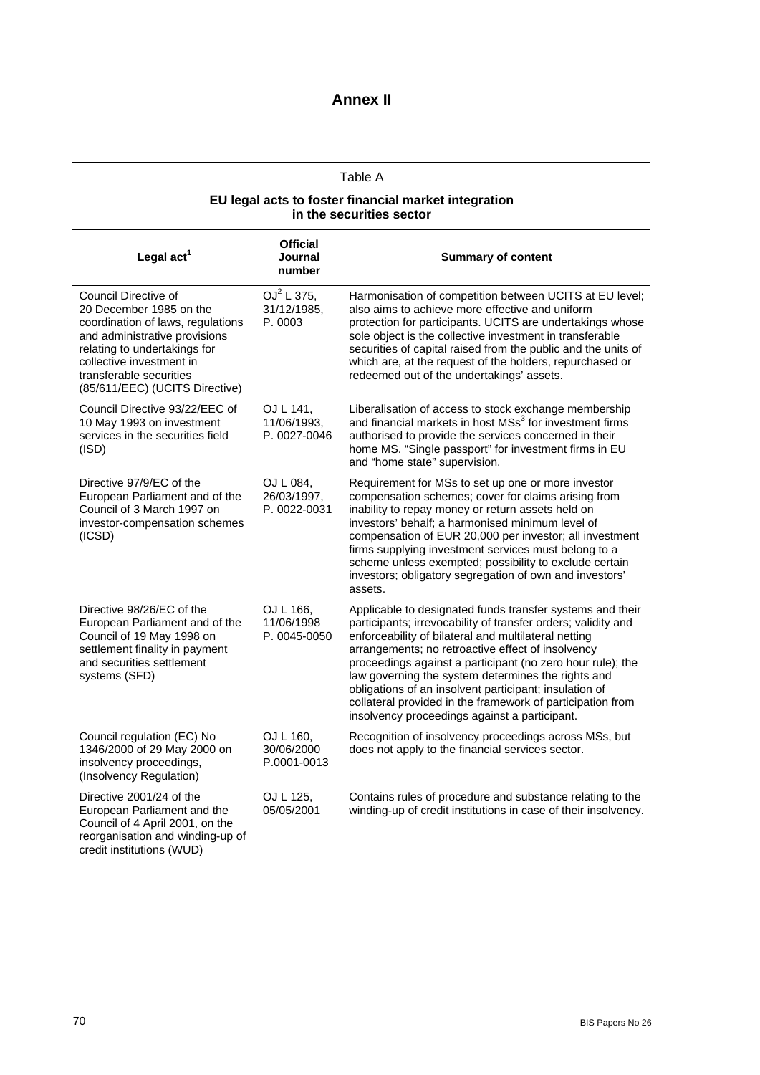#### Table A

#### **EU legal acts to foster financial market integration in the securities sector**

| Legal act <sup>1</sup>                                                                                                                                                                                                                         | <b>Official</b><br>Journal<br>number       | <b>Summary of content</b>                                                                                                                                                                                                                                                                                                                                                                                                                                                                                                            |
|------------------------------------------------------------------------------------------------------------------------------------------------------------------------------------------------------------------------------------------------|--------------------------------------------|--------------------------------------------------------------------------------------------------------------------------------------------------------------------------------------------------------------------------------------------------------------------------------------------------------------------------------------------------------------------------------------------------------------------------------------------------------------------------------------------------------------------------------------|
| Council Directive of<br>20 December 1985 on the<br>coordination of laws, regulations<br>and administrative provisions<br>relating to undertakings for<br>collective investment in<br>transferable securities<br>(85/611/EEC) (UCITS Directive) | OJ $^{2}$ L 375,<br>31/12/1985,<br>P. 0003 | Harmonisation of competition between UCITS at EU level;<br>also aims to achieve more effective and uniform<br>protection for participants. UCITS are undertakings whose<br>sole object is the collective investment in transferable<br>securities of capital raised from the public and the units of<br>which are, at the request of the holders, repurchased or<br>redeemed out of the undertakings' assets.                                                                                                                        |
| Council Directive 93/22/EEC of<br>10 May 1993 on investment<br>services in the securities field<br>(ISD)                                                                                                                                       | OJ L 141,<br>11/06/1993,<br>P. 0027-0046   | Liberalisation of access to stock exchange membership<br>and financial markets in host MSs <sup>3</sup> for investment firms<br>authorised to provide the services concerned in their<br>home MS. "Single passport" for investment firms in EU<br>and "home state" supervision.                                                                                                                                                                                                                                                      |
| Directive 97/9/EC of the<br>European Parliament and of the<br>Council of 3 March 1997 on<br>investor-compensation schemes<br>(ICSD)                                                                                                            | OJ L 084,<br>26/03/1997,<br>P. 0022-0031   | Requirement for MSs to set up one or more investor<br>compensation schemes; cover for claims arising from<br>inability to repay money or return assets held on<br>investors' behalf; a harmonised minimum level of<br>compensation of EUR 20,000 per investor; all investment<br>firms supplying investment services must belong to a<br>scheme unless exempted; possibility to exclude certain<br>investors; obligatory segregation of own and investors'<br>assets.                                                                |
| Directive 98/26/EC of the<br>European Parliament and of the<br>Council of 19 May 1998 on<br>settlement finality in payment<br>and securities settlement<br>systems (SFD)                                                                       | OJ L 166,<br>11/06/1998<br>P. 0045-0050    | Applicable to designated funds transfer systems and their<br>participants; irrevocability of transfer orders; validity and<br>enforceability of bilateral and multilateral netting<br>arrangements; no retroactive effect of insolvency<br>proceedings against a participant (no zero hour rule); the<br>law governing the system determines the rights and<br>obligations of an insolvent participant; insulation of<br>collateral provided in the framework of participation from<br>insolvency proceedings against a participant. |
| Council regulation (EC) No<br>1346/2000 of 29 May 2000 on<br>insolvency proceedings,<br>(Insolvency Regulation)                                                                                                                                | OJ L 160,<br>30/06/2000<br>P.0001-0013     | Recognition of insolvency proceedings across MSs, but<br>does not apply to the financial services sector.                                                                                                                                                                                                                                                                                                                                                                                                                            |
| Directive 2001/24 of the<br>European Parliament and the<br>Council of 4 April 2001, on the<br>reorganisation and winding-up of<br>credit institutions (WUD)                                                                                    | OJ L 125,<br>05/05/2001                    | Contains rules of procedure and substance relating to the<br>winding-up of credit institutions in case of their insolvency.                                                                                                                                                                                                                                                                                                                                                                                                          |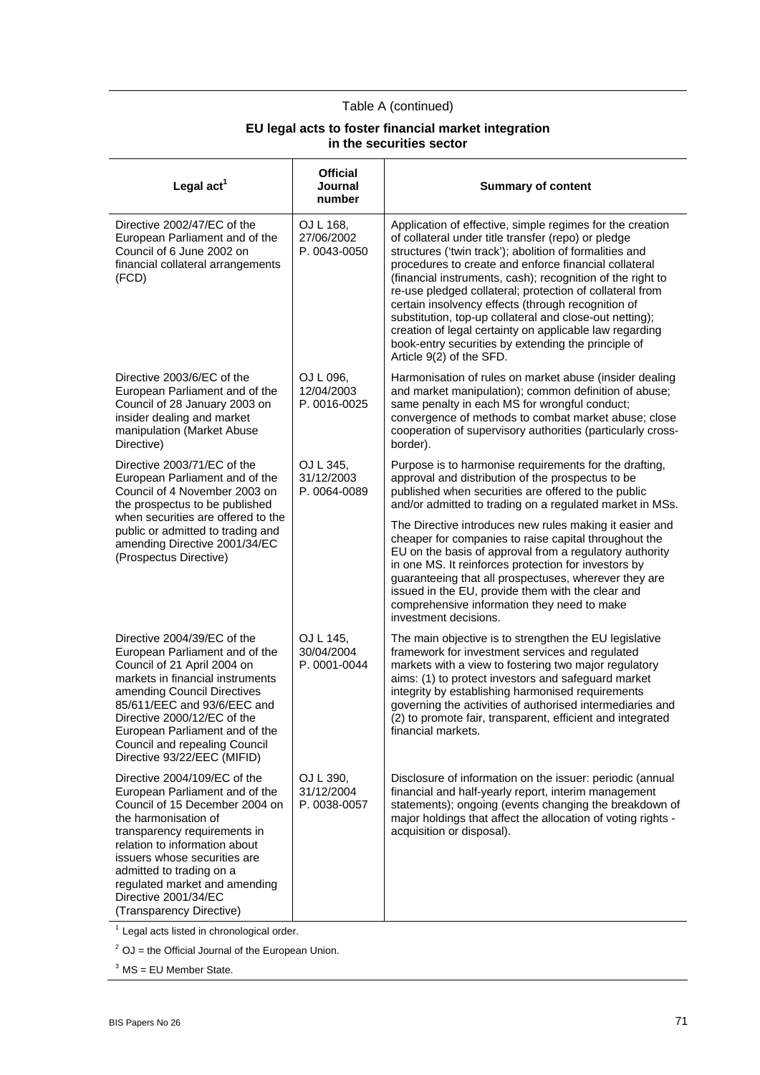### Table A (continued)

#### **EU legal acts to foster financial market integration in the securities sector**

| Legal act <sup>1</sup>                                                                                                                                                                                                                                                                                                                     | <b>Official</b><br>Journal<br>number    | <b>Summary of content</b>                                                                                                                                                                                                                                                                                                                                                                                                                                                                                                                                                                                                     |
|--------------------------------------------------------------------------------------------------------------------------------------------------------------------------------------------------------------------------------------------------------------------------------------------------------------------------------------------|-----------------------------------------|-------------------------------------------------------------------------------------------------------------------------------------------------------------------------------------------------------------------------------------------------------------------------------------------------------------------------------------------------------------------------------------------------------------------------------------------------------------------------------------------------------------------------------------------------------------------------------------------------------------------------------|
| Directive 2002/47/EC of the<br>European Parliament and of the<br>Council of 6 June 2002 on<br>financial collateral arrangements<br>(FCD)                                                                                                                                                                                                   | OJ L 168,<br>27/06/2002<br>P. 0043-0050 | Application of effective, simple regimes for the creation<br>of collateral under title transfer (repo) or pledge<br>structures ('twin track'); abolition of formalities and<br>procedures to create and enforce financial collateral<br>(financial instruments, cash); recognition of the right to<br>re-use pledged collateral; protection of collateral from<br>certain insolvency effects (through recognition of<br>substitution, top-up collateral and close-out netting);<br>creation of legal certainty on applicable law regarding<br>book-entry securities by extending the principle of<br>Article 9(2) of the SFD. |
| Directive 2003/6/EC of the<br>European Parliament and of the<br>Council of 28 January 2003 on<br>insider dealing and market<br>manipulation (Market Abuse<br>Directive)                                                                                                                                                                    | OJ L 096,<br>12/04/2003<br>P. 0016-0025 | Harmonisation of rules on market abuse (insider dealing<br>and market manipulation); common definition of abuse;<br>same penalty in each MS for wrongful conduct;<br>convergence of methods to combat market abuse; close<br>cooperation of supervisory authorities (particularly cross-<br>border).                                                                                                                                                                                                                                                                                                                          |
| Directive 2003/71/EC of the<br>European Parliament and of the<br>Council of 4 November 2003 on<br>the prospectus to be published                                                                                                                                                                                                           | OJ L 345,<br>31/12/2003<br>P. 0064-0089 | Purpose is to harmonise requirements for the drafting,<br>approval and distribution of the prospectus to be<br>published when securities are offered to the public<br>and/or admitted to trading on a regulated market in MSs.                                                                                                                                                                                                                                                                                                                                                                                                |
| when securities are offered to the<br>public or admitted to trading and<br>amending Directive 2001/34/EC<br>(Prospectus Directive)                                                                                                                                                                                                         |                                         | The Directive introduces new rules making it easier and<br>cheaper for companies to raise capital throughout the<br>EU on the basis of approval from a regulatory authority<br>in one MS. It reinforces protection for investors by<br>guaranteeing that all prospectuses, wherever they are<br>issued in the EU, provide them with the clear and<br>comprehensive information they need to make<br>investment decisions.                                                                                                                                                                                                     |
| Directive 2004/39/EC of the<br>European Parliament and of the<br>Council of 21 April 2004 on<br>markets in financial instruments<br>amending Council Directives<br>85/611/EEC and 93/6/EEC and<br>Directive 2000/12/EC of the<br>European Parliament and of the<br>Council and repealing Council<br>Directive 93/22/EEC (MIFID)            | OJ L 145,<br>30/04/2004<br>P. 0001-0044 | The main objective is to strengthen the EU legislative<br>framework for investment services and regulated<br>markets with a view to fostering two major regulatory<br>aims: (1) to protect investors and safeguard market<br>integrity by establishing harmonised requirements<br>governing the activities of authorised intermediaries and<br>(2) to promote fair, transparent, efficient and integrated<br>financial markets.                                                                                                                                                                                               |
| Directive 2004/109/EC of the<br>European Parliament and of the<br>Council of 15 December 2004 on<br>the harmonisation of<br>transparency requirements in<br>relation to information about<br>issuers whose securities are<br>admitted to trading on a<br>regulated market and amending<br>Directive 2001/34/EC<br>(Transparency Directive) | OJ L 390,<br>31/12/2004<br>P. 0038-0057 | Disclosure of information on the issuer: periodic (annual<br>financial and half-yearly report, interim management<br>statements); ongoing (events changing the breakdown of<br>major holdings that affect the allocation of voting rights -<br>acquisition or disposal).                                                                                                                                                                                                                                                                                                                                                      |

<sup>1</sup> Legal acts listed in chronological order.

 $2^2$  OJ = the Official Journal of the European Union.

 $3$  MS = EU Member State.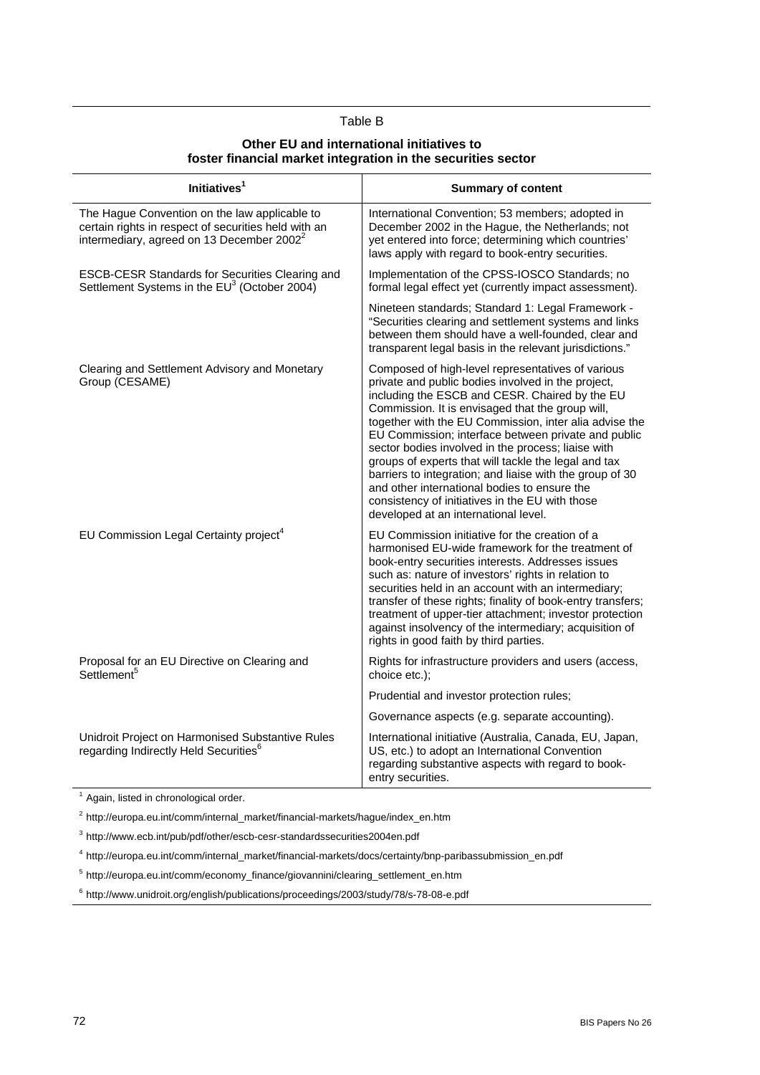#### Table B

#### **Other EU and international initiatives to foster financial market integration in the securities sector**

| Initiatives <sup>1</sup>                                                                                                                              | <b>Summary of content</b>                                                                                                                                                                                                                                                                                                                                                                                                                                                                                                                                                                                                                           |  |
|-------------------------------------------------------------------------------------------------------------------------------------------------------|-----------------------------------------------------------------------------------------------------------------------------------------------------------------------------------------------------------------------------------------------------------------------------------------------------------------------------------------------------------------------------------------------------------------------------------------------------------------------------------------------------------------------------------------------------------------------------------------------------------------------------------------------------|--|
| The Hague Convention on the law applicable to<br>certain rights in respect of securities held with an<br>intermediary, agreed on 13 December 2002 $2$ | International Convention; 53 members; adopted in<br>December 2002 in the Hague, the Netherlands; not<br>yet entered into force; determining which countries'<br>laws apply with regard to book-entry securities.                                                                                                                                                                                                                                                                                                                                                                                                                                    |  |
| <b>ESCB-CESR Standards for Securities Clearing and</b><br>Settlement Systems in the EU <sup>3</sup> (October 2004)                                    | Implementation of the CPSS-IOSCO Standards; no<br>formal legal effect yet (currently impact assessment).                                                                                                                                                                                                                                                                                                                                                                                                                                                                                                                                            |  |
|                                                                                                                                                       | Nineteen standards; Standard 1: Legal Framework -<br>"Securities clearing and settlement systems and links<br>between them should have a well-founded, clear and<br>transparent legal basis in the relevant jurisdictions."                                                                                                                                                                                                                                                                                                                                                                                                                         |  |
| Clearing and Settlement Advisory and Monetary<br>Group (CESAME)                                                                                       | Composed of high-level representatives of various<br>private and public bodies involved in the project,<br>including the ESCB and CESR. Chaired by the EU<br>Commission. It is envisaged that the group will,<br>together with the EU Commission, inter alia advise the<br>EU Commission; interface between private and public<br>sector bodies involved in the process; liaise with<br>groups of experts that will tackle the legal and tax<br>barriers to integration; and liaise with the group of 30<br>and other international bodies to ensure the<br>consistency of initiatives in the EU with those<br>developed at an international level. |  |
| EU Commission Legal Certainty project <sup>4</sup>                                                                                                    | EU Commission initiative for the creation of a<br>harmonised EU-wide framework for the treatment of<br>book-entry securities interests. Addresses issues<br>such as: nature of investors' rights in relation to<br>securities held in an account with an intermediary;<br>transfer of these rights; finality of book-entry transfers;<br>treatment of upper-tier attachment; investor protection<br>against insolvency of the intermediary; acquisition of<br>rights in good faith by third parties.                                                                                                                                                |  |
| Proposal for an EU Directive on Clearing and<br>Settlement <sup>5</sup>                                                                               | Rights for infrastructure providers and users (access,<br>choice etc.);                                                                                                                                                                                                                                                                                                                                                                                                                                                                                                                                                                             |  |
|                                                                                                                                                       | Prudential and investor protection rules;                                                                                                                                                                                                                                                                                                                                                                                                                                                                                                                                                                                                           |  |
|                                                                                                                                                       | Governance aspects (e.g. separate accounting).                                                                                                                                                                                                                                                                                                                                                                                                                                                                                                                                                                                                      |  |
| Unidroit Project on Harmonised Substantive Rules<br>regarding Indirectly Held Securities <sup>6</sup>                                                 | International initiative (Australia, Canada, EU, Japan,<br>US, etc.) to adopt an International Convention<br>regarding substantive aspects with regard to book-<br>entry securities.                                                                                                                                                                                                                                                                                                                                                                                                                                                                |  |
| <sup>1</sup> Again, listed in chronological order.                                                                                                    |                                                                                                                                                                                                                                                                                                                                                                                                                                                                                                                                                                                                                                                     |  |

 $2$  http://europa.eu.int/comm/internal\_market/financial-markets/hague/index\_en.htm

3 http://www.ecb.int/pub/pdf/other/escb-cesr-standardssecurities2004en.pdf

4 http://europa.eu.int/comm/internal\_market/financial-markets/docs/certainty/bnp-paribassubmission\_en.pdf

5 http://europa.eu.int/comm/economy\_finance/giovannini/clearing\_settlement\_en.htm

6 http://www.unidroit.org/english/publications/proceedings/2003/study/78/s-78-08-e.pdf